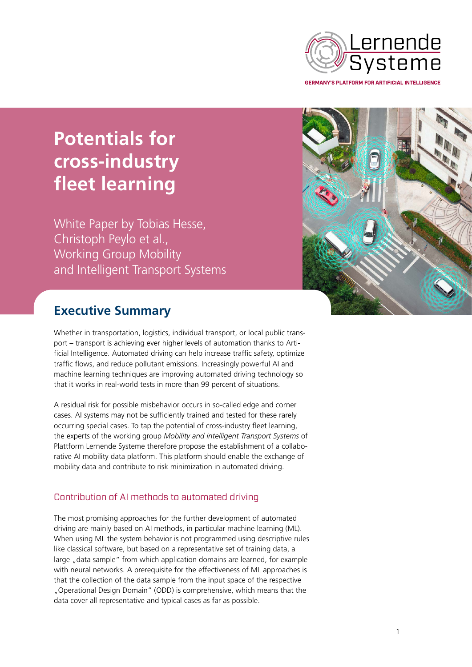

**Potentials for cross-industry fleet learning**

White Paper by Tobias Hesse, Christoph Peylo et al., Working Group Mobility and Intelligent Transport Systems



# **Executive Summary**

Whether in transportation, logistics, individual transport, or local public transport – transport is achieving ever higher levels of automation thanks to Artificial Intelligence. Automated driving can help increase traffic safety, optimize traffic flows, and reduce pollutant emissions. Increasingly powerful AI and machine learning techniques are improving automated driving technology so that it works in real-world tests in more than 99 percent of situations.

A residual risk for possible misbehavior occurs in so-called edge and corner cases. AI systems may not be sufficiently trained and tested for these rarely occurring special cases. To tap the potential of cross-industry fleet learning, the experts of the working group *Mobility and intelligent Transport Systems* of Plattform Lernende Systeme therefore propose the establishment of a collaborative AI mobility data platform. This platform should enable the exchange of mobility data and contribute to risk minimization in automated driving.

## Contribution of AI methods to automated driving

The most promising approaches for the further development of automated driving are mainly based on AI methods, in particular machine learning (ML). When using ML the system behavior is not programmed using descriptive rules like classical software, but based on a representative set of training data, a large "data sample" from which application domains are learned, for example with neural networks. A prerequisite for the effectiveness of ML approaches is that the collection of the data sample from the input space of the respective "Operational Design Domain" (ODD) is comprehensive, which means that the data cover all representative and typical cases as far as possible.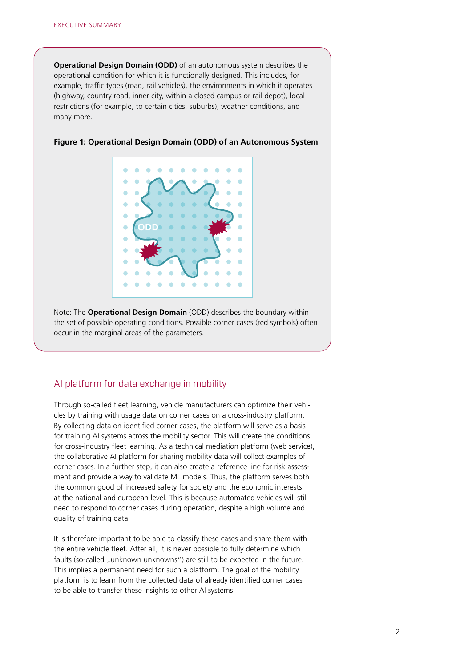**Operational Design Domain (ODD)** of an autonomous system describes the operational condition for which it is functionally designed. This includes, for example, traffic types (road, rail vehicles), the environments in which it operates (highway, country road, inner city, within a closed campus or rail depot), local restrictions (for example, to certain cities, suburbs), weather conditions, and many more.



#### **Figure 1: Operational Design Domain (ODD) of an Autonomous System**

Note: The **Operational Design Domain** (ODD) describes the boundary within the set of possible operating conditions. Possible corner cases (red symbols) often occur in the marginal areas of the parameters.

### AI platform for data exchange in mobility

Through so-called fleet learning, vehicle manufacturers can optimize their vehicles by training with usage data on corner cases on a cross-industry platform. By collecting data on identified corner cases, the platform will serve as a basis for training AI systems across the mobility sector. This will create the conditions for cross-industry fleet learning. As a technical mediation platform (web service), the collaborative AI platform for sharing mobility data will collect examples of corner cases. In a further step, it can also create a reference line for risk assessment and provide a way to validate ML models. Thus, the platform serves both the common good of increased safety for society and the economic interests at the national and european level. This is because automated vehicles will still need to respond to corner cases during operation, despite a high volume and quality of training data.

It is therefore important to be able to classify these cases and share them with the entire vehicle fleet. After all, it is never possible to fully determine which faults (so-called "unknown unknowns") are still to be expected in the future. This implies a permanent need for such a platform. The goal of the mobility platform is to learn from the collected data of already identified corner cases to be able to transfer these insights to other AI systems.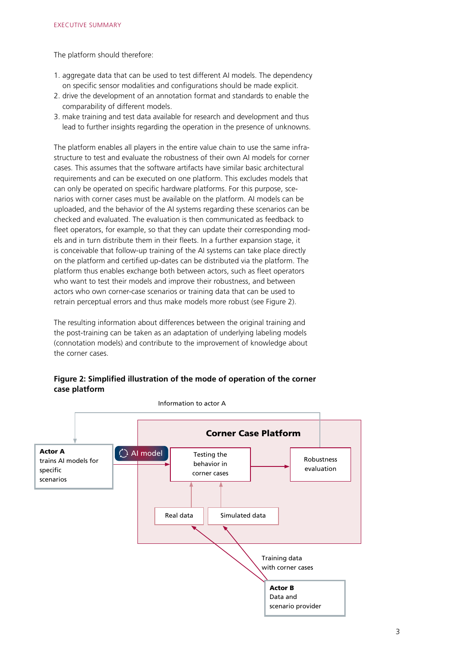The platform should therefore:

- 1. aggregate data that can be used to test different AI models. The dependency on specific sensor modalities and configurations should be made explicit.
- 2. drive the development of an annotation format and standards to enable the comparability of different models.
- 3. make training and test data available for research and development and thus lead to further insights regarding the operation in the presence of unknowns.

The platform enables all players in the entire value chain to use the same infrastructure to test and evaluate the robustness of their own AI models for corner cases. This assumes that the software artifacts have similar basic architectural requirements and can be executed on one platform. This excludes models that can only be operated on specific hardware platforms. For this purpose, scenarios with corner cases must be available on the platform. AI models can be uploaded, and the behavior of the AI systems regarding these scenarios can be checked and evaluated. The evaluation is then communicated as feedback to fleet operators, for example, so that they can update their corresponding models and in turn distribute them in their fleets. In a further expansion stage, it is conceivable that follow-up training of the AI systems can take place directly on the platform and certified up-dates can be distributed via the platform. The platform thus enables exchange both between actors, such as fleet operators who want to test their models and improve their robustness, and between actors who own corner-case scenarios or training data that can be used to retrain perceptual errors and thus make models more robust (see Figure 2).

The resulting information about differences between the original training and the post-training can be taken as an adaptation of underlying labeling models (connotation models) and contribute to the improvement of knowledge about the corner cases.